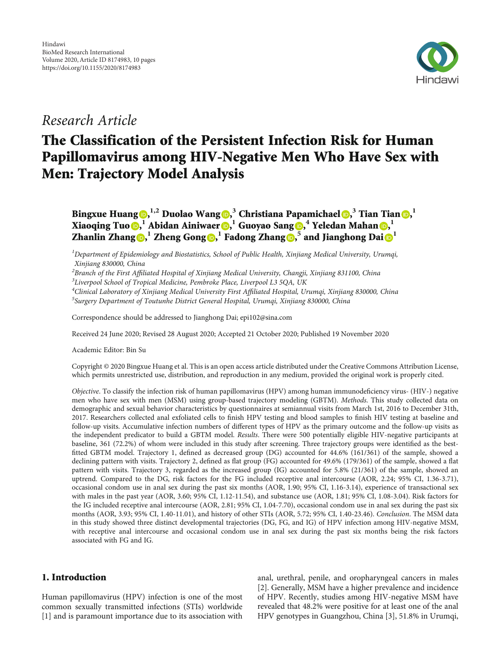

## Research Article

# The Classification of the Persistent Infection Risk for Human Papillomavirus among HIV-Negative Men Who Have Sex with Men: Trajectory Model Analysis

Bingxue Huang [,](https://orcid.org/0000-0002-1594-6048) **1,2** Duolao Wang [,](https://orcid.org/0000-0003-2788-2464) **<sup>3</sup>** Christiana Papamichael [,](https://orcid.org/0000-0003-1432-9379) **<sup>3</sup>** Tian Tian [,](https://orcid.org/0000-0002-6103-1666) **1** Xiaoqing Tuo **o[,](https://orcid.org/0000-0002-6521-5470)** *I* Abidan Ainiwaer **o,** *I* Guoyao Sang **o, <sup>4</sup>** Yeledan Mahan **o,** *I* Zhanlin Zhang  $\mathbf{D}$ [,](https://orcid.org/0000-0003-0218-2306)  $^1$  $^1$  Zheng Gong  $\mathbf{D}$ ,  $^1$  Fadong Zhang  $\mathbf{D}$ ,  $^5$  and Jianghong Dai  $\mathbf{D}^1$ 

 ${}^{1}$ Department of Epidemiology and Biostatistics, School of Public Health, Xinjiang Medical University, Urumqi, Xinjiang 830000, China

<sup>2</sup>Branch of the First Affiliated Hospital of Xinjiang Medical University, Changji, Xinjiang 831100, China<br><sup>3</sup>Liverpool School of Tropical Medicine, Pembroke Place, Liverpool I.3,5OA, UK

 ${}^{3}$ Liverpool School of Tropical Medicine, Pembroke Place, Liverpool L3 5QA, UK

<sup>4</sup>Clinical Laboratory of Xinjiang Medical University First Affiliated Hospital, Urumqi, Xinjiang 830000, China<br><sup>5</sup>Surgary Department of Toutunha District Ceneral Hospital Urumqi, Xinjiang 830000, China  $5$ Surgery Department of Toutunhe District General Hospital, Urumqi, Xinjiang 830000, China

Correspondence should be addressed to Jianghong Dai; epi102@sina.com

Received 24 June 2020; Revised 28 August 2020; Accepted 21 October 2020; Published 19 November 2020

Academic Editor: Bin Su

Copyright © 2020 Bingxue Huang et al. This is an open access article distributed under the [Creative Commons Attribution License](https://creativecommons.org/licenses/by/4.0/), which permits unrestricted use, distribution, and reproduction in any medium, provided the original work is properly cited.

Objective. To classify the infection risk of human papillomavirus (HPV) among human immunodeficiency virus- (HIV-) negative men who have sex with men (MSM) using group-based trajectory modeling (GBTM). Methods. This study collected data on demographic and sexual behavior characteristics by questionnaires at semiannual visits from March 1st, 2016 to December 31th, 2017. Researchers collected anal exfoliated cells to finish HPV testing and blood samples to finish HIV testing at baseline and follow-up visits. Accumulative infection numbers of different types of HPV as the primary outcome and the follow-up visits as the independent predicator to build a GBTM model. Results. There were 500 potentially eligible HIV-negative participants at baseline, 361 (72.2%) of whom were included in this study after screening. Three trajectory groups were identified as the bestfitted GBTM model. Trajectory 1, defined as decreased group (DG) accounted for 44.6% (161/361) of the sample, showed a declining pattern with visits. Trajectory 2, defined as flat group (FG) accounted for 49.6% (179/361) of the sample, showed a flat pattern with visits. Trajectory 3, regarded as the increased group (IG) accounted for 5.8% (21/361) of the sample, showed an uptrend. Compared to the DG, risk factors for the FG included receptive anal intercourse (AOR, 2.24; 95% CI, 1.36-3.71), occasional condom use in anal sex during the past six months (AOR, 1.90; 95% CI, 1.16-3.14), experience of transactional sex with males in the past year (AOR, 3.60; 95% CI, 1.12-11.54), and substance use (AOR, 1.81; 95% CI, 1.08-3.04). Risk factors for the IG included receptive anal intercourse (AOR, 2.81; 95% CI, 1.04-7.70), occasional condom use in anal sex during the past six months (AOR, 3.93; 95% CI, 1.40-11.01), and history of other STIs (AOR, 5.72; 95% CI, 1.40-23.46). Conclusion. The MSM data in this study showed three distinct developmental trajectories (DG, FG, and IG) of HPV infection among HIV-negative MSM, with receptive anal intercourse and occasional condom use in anal sex during the past six months being the risk factors associated with FG and IG.

## 1. Introduction

Human papillomavirus (HPV) infection is one of the most common sexually transmitted infections (STIs) worldwide [\[1](#page-8-0)] and is paramount importance due to its association with anal, urethral, penile, and oropharyngeal cancers in males [\[2](#page-8-0)]. Generally, MSM have a higher prevalence and incidence of HPV. Recently, studies among HIV-negative MSM have revealed that 48.2% were positive for at least one of the anal HPV genotypes in Guangzhou, China [[3\]](#page-8-0), 51.8% in Urumqi,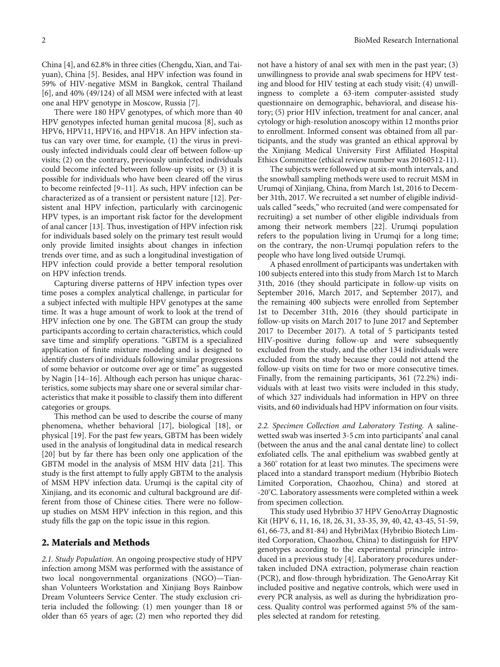China [[4\]](#page-8-0), and 62.8% in three cities (Chengdu, Xian, and Taiyuan), China [[5\]](#page-8-0). Besides, anal HPV infection was found in 59% of HIV-negative MSM in Bangkok, central Thailand [\[6](#page-8-0)], and 40% (49/124) of all MSM were infected with at least one anal HPV genotype in Moscow, Russia [\[7](#page-8-0)].

There were 180 HPV genotypes, of which more than 40 HPV genotypes infected human genital mucosa [\[8](#page-8-0)], such as HPV6, HPV11, HPV16, and HPV18. An HPV infection status can vary over time, for example, (1) the virus in previously infected individuals could clear off between follow-up visits; (2) on the contrary, previously uninfected individuals could become infected between follow-up visits; or (3) it is possible for individuals who have been cleared off the virus to become reinfected [[9](#page-8-0)–[11](#page-8-0)]. As such, HPV infection can be characterized as of a transient or persistent nature [\[12\]](#page-8-0). Persistent anal HPV infection, particularly with carcinogenic HPV types, is an important risk factor for the development of anal cancer [[13](#page-8-0)]. Thus, investigation of HPV infection risk for individuals based solely on the primary test result would only provide limited insights about changes in infection trends over time, and as such a longitudinal investigation of HPV infection could provide a better temporal resolution on HPV infection trends.

Capturing diverse patterns of HPV infection types over time poses a complex analytical challenge, in particular for a subject infected with multiple HPV genotypes at the same time. It was a huge amount of work to look at the trend of HPV infection one by one. The GBTM can group the study participants according to certain characteristics, which could save time and simplify operations. "GBTM is a specialized application of finite mixture modeling and is designed to identify clusters of individuals following similar progressions of some behavior or outcome over age or time" as suggested by Nagin [\[14](#page-8-0)–[16\]](#page-8-0). Although each person has unique characteristics, some subjects may share one or several similar characteristics that make it possible to classify them into different categories or groups.

This method can be used to describe the course of many phenomena, whether behavioral [\[17](#page-8-0)], biological [[18](#page-8-0)], or physical [\[19\]](#page-8-0). For the past few years, GBTM has been widely used in the analysis of longitudinal data in medical research [\[20](#page-8-0)] but by far there has been only one application of the GBTM model in the analysis of MSM HIV data [[21](#page-8-0)]. This study is the first attempt to fully apply GBTM to the analysis of MSM HPV infection data. Urumqi is the capital city of Xinjiang, and its economic and cultural background are different from those of Chinese cities. There were no followup studies on MSM HPV infection in this region, and this study fills the gap on the topic issue in this region.

#### 2. Materials and Methods

2.1. Study Population. An ongoing prospective study of HPV infection among MSM was performed with the assistance of two local nongovernmental organizations (NGO)—Tianshan Volunteers Workstation and Xinjiang Boys Rainbow Dream Volunteers Service Center. The study exclusion criteria included the following: (1) men younger than 18 or older than 65 years of age; (2) men who reported they did not have a history of anal sex with men in the past year; (3) unwillingness to provide anal swab specimens for HPV testing and blood for HIV testing at each study visit; (4) unwillingness to complete a 63-item computer-assisted study questionnaire on demographic, behavioral, and disease history; (5) prior HIV infection, treatment for anal cancer, anal cytology or high-resolution anoscopy within 12 months prior to enrollment. Informed consent was obtained from all participants, and the study was granted an ethical approval by the Xinjiang Medical University First Affiliated Hospital Ethics Committee (ethical review number was 20160512-11).

The subjects were followed up at six-month intervals, and the snowball sampling methods were used to recruit MSM in Urumqi of Xinjiang, China, from March 1st, 2016 to December 31th, 2017. We recruited a set number of eligible individuals called "seeds," who recruited (and were compensated for recruiting) a set number of other eligible individuals from among their network members [\[22\]](#page-8-0). Urumqi population refers to the population living in Urumqi for a long time; on the contrary, the non-Urumqi population refers to the people who have long lived outside Urumqi.

A phased enrollment of participants was undertaken with 100 subjects entered into this study from March 1st to March 31th, 2016 (they should participate in follow-up visits on September 2016, March 2017, and September 2017), and the remaining 400 subjects were enrolled from September 1st to December 31th, 2016 (they should participate in follow-up visits on March 2017 to June 2017 and September 2017 to December 2017). A total of 5 participants tested HIV-positive during follow-up and were subsequently excluded from the study, and the other 134 individuals were excluded from the study because they could not attend the follow-up visits on time for two or more consecutive times. Finally, from the remaining participants, 361 (72.2%) individuals with at least two visits were included in this study, of which 327 individuals had information in HPV on three visits, and 60 individuals had HPV information on four visits.

2.2. Specimen Collection and Laboratory Testing. A salinewetted swab was inserted 3-5 cm into participants' anal canal (between the anus and the anal canal dentate line) to collect exfoliated cells. The anal epithelium was swabbed gently at a 360° rotation for at least two minutes. The specimens were placed into a standard transport medium (Hybribio Biotech Limited Corporation, Chaozhou, China) and stored at -20° C. Laboratory assessments were completed within a week from specimen collection.

This study used Hybribio 37 HPV GenoArray Diagnostic Kit (HPV 6, 11, 16, 18, 26, 31, 33-35, 39, 40, 42, 43-45, 51-59, 61, 66-73, and 81-84) and HybriMax (Hybribio Biotech Limited Corporation, Chaozhou, China) to distinguish for HPV genotypes according to the experimental principle introduced in a previous study [[4\]](#page-8-0). Laboratory procedures undertaken included DNA extraction, polymerase chain reaction (PCR), and flow-through hybridization. The GenoArray Kit included positive and negative controls, which were used in every PCR analysis, as well as during the hybridization process. Quality control was performed against 5% of the samples selected at random for retesting.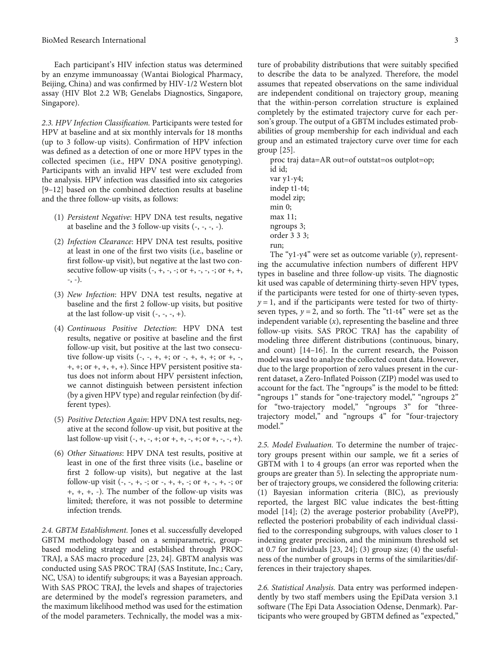Each participant's HIV infection status was determined by an enzyme immunoassay (Wantai Biological Pharmacy, Beijing, China) and was confirmed by HIV-1/2 Western blot assay (HIV Blot 2.2 WB; Genelabs Diagnostics, Singapore, Singapore).

2.3. HPV Infection Classification. Participants were tested for HPV at baseline and at six monthly intervals for 18 months (up to 3 follow-up visits). Confirmation of HPV infection was defined as a detection of one or more HPV types in the collected specimen (i.e., HPV DNA positive genotyping). Participants with an invalid HPV test were excluded from the analysis. HPV infection was classified into six categories [\[9](#page-8-0)–[12\]](#page-8-0) based on the combined detection results at baseline and the three follow-up visits, as follows:

- (1) Persistent Negative: HPV DNA test results, negative at baseline and the 3 follow-up visits  $(-, -, -, -)$ .
- (2) Infection Clearance: HPV DNA test results, positive at least in one of the first two visits (i.e., baseline or first follow-up visit), but negative at the last two consecutive follow-up visits  $(-, +, -, -; \text{ or } +, -, -; \text{ or } +, +,$ -, -).
- (3) New Infection: HPV DNA test results, negative at baseline and the first 2 follow-up visits, but positive at the last follow-up visit  $(-, -, -, +)$ .
- (4) Continuous Positive Detection: HPV DNA test results, negative or positive at baseline and the first follow-up visit, but positive at the last two consecutive follow-up visits  $(-, -, +, +; \text{ or } -, +, +, +; \text{ or } +, -,$ +, +; or +, +, +, +). Since HPV persistent positive status does not inform about HPV persistent infection, we cannot distinguish between persistent infection (by a given HPV type) and regular reinfection (by different types).
- (5) Positive Detection Again: HPV DNA test results, negative at the second follow-up visit, but positive at the last follow-up visit  $(-, +, -, +; or +, +, -, +; or +, -, +).$
- (6) Other Situations: HPV DNA test results, positive at least in one of the first three visits (i.e., baseline or first 2 follow-up visits), but negative at the last follow-up visit  $(-, -, +, -; or -, +, +, -; or +, -, +, -; or$ +, +, +, -). The number of the follow-up visits was limited; therefore, it was not possible to determine infection trends.

2.4. GBTM Establishment. Jones et al. successfully developed GBTM methodology based on a semiparametric, groupbased modeling strategy and established through PROC TRAJ, a SAS macro procedure [[23](#page-8-0), [24\]](#page-8-0). GBTM analysis was conducted using SAS PROC TRAJ (SAS Institute, Inc.; Cary, NC, USA) to identify subgroups; it was a Bayesian approach. With SAS PROC TRAJ, the levels and shapes of trajectories are determined by the model's regression parameters, and the maximum likelihood method was used for the estimation of the model parameters. Technically, the model was a mix-

ture of probability distributions that were suitably specified to describe the data to be analyzed. Therefore, the model assumes that repeated observations on the same individual are independent conditional on trajectory group, meaning that the within-person correlation structure is explained completely by the estimated trajectory curve for each person's group. The output of a GBTM includes estimated probabilities of group membership for each individual and each group and an estimated trajectory curve over time for each group [[25](#page-8-0)].

proc traj data=AR out=of outstat=os outplot=op; id id; var y1-y4; indep t1-t4; model zip; min 0;

- max 11; ngroups 3;
- order 3 3 3;

The "y1-y4" were set as outcome variable (*y*), representing the accumulative infection numbers of different HPV types in baseline and three follow-up visits. The diagnostic kit used was capable of determining thirty-seven HPV types, if the participants were tested for one of thirty-seven types,  $y = 1$ , and if the participants were tested for two of thirtyseven types,  $y = 2$ , and so forth. The "t1-t4" were set as the independent variable (*x*), representing the baseline and three follow-up visits. SAS PROC TRAJ has the capability of modeling three different distributions (continuous, binary, and count) [[14](#page-8-0)–[16](#page-8-0)]. In the current research, the Poisson model was used to analyze the collected count data. However, due to the large proportion of zero values present in the current dataset, a Zero-Inflated Poisson (ZIP) model was used to account for the fact. The "ngroups" is the model to be fitted: "ngroups 1" stands for "one-trajectory model," "ngroups 2" for "two-trajectory model," "ngroups 3" for "threetrajectory model," and "ngroups 4" for "four-trajectory model."

2.5. Model Evaluation. To determine the number of trajectory groups present within our sample, we fit a series of GBTM with 1 to 4 groups (an error was reported when the groups are greater than 5). In selecting the appropriate number of trajectory groups, we considered the following criteria: (1) Bayesian information criteria (BIC), as previously reported, the largest BIC value indicates the best-fitting model [\[14\]](#page-8-0); (2) the average posterior probability (AvePP), reflected the posteriori probability of each individual classified to the corresponding subgroups, with values closer to 1 indexing greater precision, and the minimum threshold set at 0.7 for individuals [[23, 24](#page-8-0)]; (3) group size; (4) the usefulness of the number of groups in terms of the similarities/differences in their trajectory shapes.

2.6. Statistical Analysis. Data entry was performed independently by two staff members using the EpiData version 3.1 software (The Epi Data Association Odense, Denmark). Participants who were grouped by GBTM defined as "expected,"

run;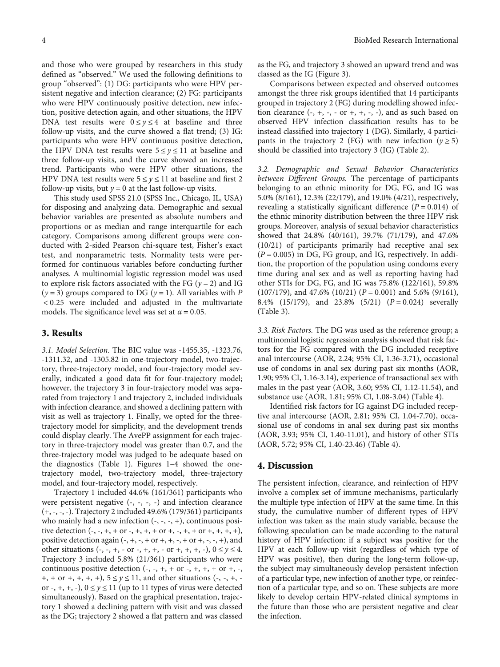and those who were grouped by researchers in this study defined as "observed." We used the following definitions to group "observed": (1) DG: participants who were HPV persistent negative and infection clearance; (2) FG: participants who were HPV continuously positive detection, new infection, positive detection again, and other situations, the HPV DNA test results were  $0 \le y \le 4$  at baseline and three follow-up visits, and the curve showed a flat trend; (3) IG: participants who were HPV continuous positive detection, the HPV DNA test results were  $5 \le y \le 11$  at baseline and three follow-up visits, and the curve showed an increased trend. Participants who were HPV other situations, the HPV DNA test results were  $5 \le y \le 11$  at baseline and first 2 follow-up visits, but  $y = 0$  at the last follow-up visits.

This study used SPSS 21.0 (SPSS Inc., Chicago, IL, USA) for disposing and analyzing data. Demographic and sexual behavior variables are presented as absolute numbers and proportions or as median and range interquartile for each category. Comparisons among different groups were conducted with 2-sided Pearson chi-square test, Fisher's exact test, and nonparametric tests. Normality tests were performed for continuous variables before conducting further analyses. A multinomial logistic regression model was used to explore risk factors associated with the FG (*<sup>y</sup>* = 2) and IG  $(y = 3)$  groups compared to DG  $(y = 1)$ . All variables with *P* < 0*:*25 were included and adjusted in the multivariate models. The significance level was set at  $\alpha = 0.05$ .

#### 3. Results

3.1. Model Selection. The BIC value was -1455.35, -1323.76, -1311.32, and -1305.82 in one-trajectory model, two-trajectory, three-trajectory model, and four-trajectory model severally, indicated a good data fit for four-trajectory model; however, the trajectory 3 in four-trajectory model was separated from trajectory 1 and trajectory 2, included individuals with infection clearance, and showed a declining pattern with visit as well as trajectory 1. Finally, we opted for the threetrajectory model for simplicity, and the development trends could display clearly. The AvePP assignment for each trajectory in three-trajectory model was greater than 0.7, and the three-trajectory model was judged to be adequate based on the diagnostics (Table [1\)](#page-4-0). Figures [1](#page-4-0)–[4](#page-4-0) showed the onetrajectory model, two-trajectory model, three-trajectory model, and four-trajectory model, respectively.

Trajectory 1 included 44.6% (161/361) participants who were persistent negative (-, -, -, -) and infection clearance (+, -, -, -). Trajectory 2 included 49.6% (179/361) participants who mainly had a new infection  $(-, -, -, +)$ , continuous positive detection  $(-, -, +, + \text{ or } -, +, +, + \text{ or } +, -, +, + \text{ or } +, +, +),$ positive detection again  $(-, +, -, + or +, +, -, + or +, -, +),$  and other situations (-, -, +, - or -, +, +, - or +, +, +, -),  $0 \le y \le 4$ . Trajectory 3 included 5.8% (21/361) participants who were continuous positive detection  $(-, -, +, + \text{ or } -, +, +, + \text{ or } +, -,$ +, + or +, +, +, +), 5 <sup>≤</sup> *<sup>y</sup>* <sup>≤</sup> 11, and other situations (-, -, +, or  $-$ ,  $+$ ,  $+$ ,  $-$ ),  $0 \le y \le 11$  (up to 11 types of virus were detected simultaneously). Based on the graphical presentation, trajectory 1 showed a declining pattern with visit and was classed as the DG; trajectory 2 showed a flat pattern and was classed as the FG, and trajectory 3 showed an upward trend and was classed as the IG (Figure [3\)](#page-4-0).

Comparisons between expected and observed outcomes amongst the three risk groups identified that 14 participants grouped in trajectory 2 (FG) during modelling showed infection clearance  $(-, +, -, -$  or  $+, +, -, -)$ , and as such based on observed HPV infection classification results has to be instead classified into trajectory 1 (DG). Similarly, 4 participants in the trajectory 2 (FG) with new infection ( $y \ge 5$ ) should be classified into trajectory 3 (IG) (Table [2](#page-4-0)).

3.2. Demographic and Sexual Behavior Characteristics between Different Groups. The percentage of participants belonging to an ethnic minority for DG, FG, and IG was 5.0% (8/161), 12.3% (22/179), and 19.0% (4/21), respectively, revealing a statistically significant difference  $(P = 0.014)$  of the ethnic minority distribution between the three HPV risk groups. Moreover, analysis of sexual behavior characteristics showed that 24.8% (40/161), 39.7% (71/179), and 47.6% (10/21) of participants primarily had receptive anal sex (*<sup>P</sup>* = 0*:*005) in DG, FG group, and IG, respectively. In addition, the proportion of the population using condoms every time during anal sex and as well as reporting having had other STIs for DG, FG, and IG was 75.8% (122/161), 59.8% (107/179), and 47.6% (10/21) (*<sup>P</sup>* = 0*:*001) and 5.6% (9/161), 8.4% (15/179), and 23.8% (5/21) (*<sup>P</sup>* = 0*:*024) severally (Table [3](#page-5-0)).

3.3. Risk Factors. The DG was used as the reference group; a multinomial logistic regression analysis showed that risk factors for the FG compared with the DG included receptive anal intercourse (AOR, 2.24; 95% CI, 1.36-3.71), occasional use of condoms in anal sex during past six months (AOR, 1.90; 95% CI, 1.16-3.14), experience of transactional sex with males in the past year (AOR, 3.60; 95% CI, 1.12-11.54), and substance use (AOR, 1.81; 95% CI, 1.08-3.04) (Table [4\)](#page-7-0).

Identified risk factors for IG against DG included receptive anal intercourse (AOR, 2.81; 95% CI, 1.04-7.70), occasional use of condoms in anal sex during past six months (AOR, 3.93; 95% CI, 1.40-11.01), and history of other STIs (AOR, 5.72; 95% CI, 1.40-23.46) (Table [4\)](#page-7-0).

#### 4. Discussion

The persistent infection, clearance, and reinfection of HPV involve a complex set of immune mechanisms, particularly the multiple type infection of HPV at the same time. In this study, the cumulative number of different types of HPV infection was taken as the main study variable, because the following speculation can be made according to the natural history of HPV infection: if a subject was positive for the HPV at each follow-up visit (regardless of which type of HPV was positive), then during the long-term follow-up, the subject may simultaneously develop persistent infection of a particular type, new infection of another type, or reinfection of a particular type, and so on. These subjects are more likely to develop certain HPV-related clinical symptoms in the future than those who are persistent negative and clear the infection.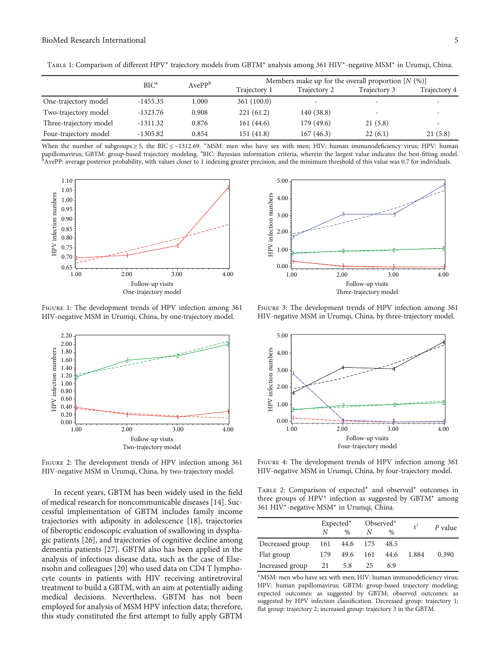<span id="page-4-0"></span>

| TABLE 1: Comparison of different HPV* trajectory models from GBTM* analysis among 361 HIV*-negative MSM* in Urumqi, China. |  |  |  |  |
|----------------------------------------------------------------------------------------------------------------------------|--|--|--|--|
|                                                                                                                            |  |  |  |  |

|                        | BIC <sup>a</sup> | AvePP <sup>b</sup> | Members make up for the overall proportion $[N (\%)]$ |              |                          |              |  |  |
|------------------------|------------------|--------------------|-------------------------------------------------------|--------------|--------------------------|--------------|--|--|
|                        |                  |                    | Trajectory 1                                          | Trajectory 2 | Trajectory 3             | Trajectory 4 |  |  |
| One-trajectory model   | $-1455.35$       | 1.000              | 361(100.0)                                            |              |                          |              |  |  |
| Two-trajectory model   | $-1323.76$       | 0.908              | 221(61.2)                                             | 140 (38.8)   | $\overline{\phantom{0}}$ |              |  |  |
| Three-trajectory model | $-1311.32$       | 0.876              | 161 (44.6)                                            | 179 (49.6)   | 21(5.8)                  |              |  |  |
| Four-trajectory model  | $-1305.82$       | 0.854              | 151 (41.8)                                            | 167(46.3)    | 22(6.1)                  | 21(5.8)      |  |  |

When the number of subgroups ≥ 5, the BIC ≤ -1312.69. \*MSM: men who have sex with men; HIV: human immunodeficiency virus; HPV: human papillomavirus; GBTM: group-based trajectory modeling. <sup>a</sup>BIC: Bayesian information criteria, wherein the largest value indicates the best-fitting model.<br><sup>b</sup>AvePP: average posterior probability, with values closer to 1 ind



FIGURE 1: The development trends of HPV infection among 361 HIV-negative MSM in Urumqi, China, by one-trajectory model.



FIGURE 2: The development trends of HPV infection among 361 HIV-negative MSM in Urumqi, China, by two-trajectory model.

In recent years, GBTM has been widely used in the field of medical research for noncommunicable diseases [\[14\]](#page-8-0). Successful implementation of GBTM includes family income trajectories with adiposity in adolescence [[18](#page-8-0)], trajectories of fiberoptic endoscopic evaluation of swallowing in dysphagic patients [\[26](#page-9-0)], and trajectories of cognitive decline among dementia patients [\[27\]](#page-9-0). GBTM also has been applied in the analysis of infectious disease data, such as the case of Elsensohn and colleagues [\[20\]](#page-8-0) who used data on CD4 T lymphocyte counts in patients with HIV receiving antiretroviral treatment to build a GBTM, with an aim at potentially aiding medical decisions. Nevertheless, GBTM has not been employed for analysis of MSM HPV infection data; therefore, this study constituted the first attempt to fully apply GBTM



Figure 3: The development trends of HPV infection among 361 HIV-negative MSM in Urumqi, China, by three-trajectory model.



Figure 4: The development trends of HPV infection among 361 HIV-negative MSM in Urumqi, China, by four-trajectory model.

Table 2: Comparison of expected<sup>∗</sup> and observed<sup>∗</sup> outcomes in three groups of HPV<sup>∗</sup> infection as suggested by GBTM<sup>∗</sup> among 361 HIV∗-negative MSM<sup>∗</sup> in Urumqi, China.

|                 | Expected* Observed* |                   |    |      | $\chi^2$ | P value |  |
|-----------------|---------------------|-------------------|----|------|----------|---------|--|
|                 | N                   | $\%$              | N  | $\%$ |          |         |  |
| Decreased group |                     | 161 44.6 175 48.5 |    |      |          |         |  |
| Flat group      | 179                 | 49.6 161          |    | 44.6 | 1.884    | 0.390   |  |
| Increased group | 21                  | 5.8               | 25 | 6.9  |          |         |  |
|                 |                     |                   |    |      |          |         |  |

<sup>∗</sup>MSM: men who have sex with men; HIV: human immunodeficiency virus; HPV: human papillomavirus; GBTM: group-based trajectory modeling; expected outcomes: as suggested by GBTM; observed outcomes: as suggested by HPV infection classification. Decreased group: trajectory 1; flat group: trajectory 2; increased group: trajectory 3 in the GBTM.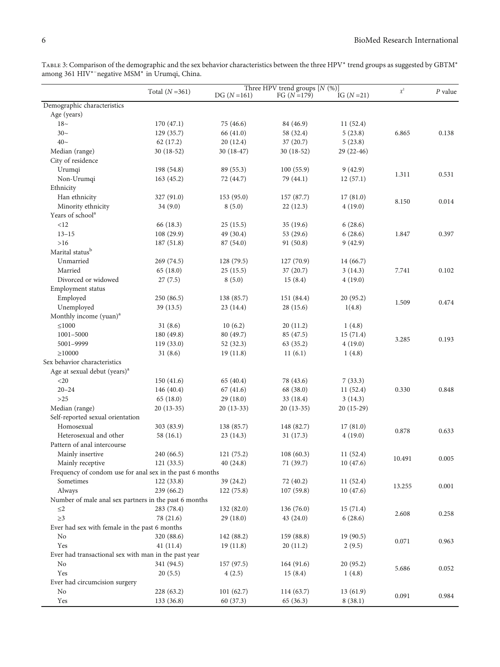<span id="page-5-0"></span>

| TABLE 3: Comparison of the demographic and the sex behavior characteristics between the three HPV* trend groups as suggested by GBTM* |  |
|---------------------------------------------------------------------------------------------------------------------------------------|--|
| among 361 HIV <sup>*-</sup> negative MSM <sup>*</sup> in Urumqi, China.                                                               |  |

|                                                           |                 |             | Three HPV trend groups $[N (%)]$ |             |          |           |  |
|-----------------------------------------------------------|-----------------|-------------|----------------------------------|-------------|----------|-----------|--|
|                                                           | Total $(N=361)$ | $DG(N=161)$ | FG $(N=179)$                     | IG $(N=21)$ | $\chi^2$ | $P$ value |  |
| Demographic characteristics                               |                 |             |                                  |             |          |           |  |
| Age (years)                                               |                 |             |                                  |             |          |           |  |
| $18-$                                                     | 170(47.1)       | 75 (46.6)   | 84 (46.9)                        | 11(52.4)    |          |           |  |
| $30-$                                                     | 129 (35.7)      | 66 (41.0)   | 58 (32.4)                        | 5(23.8)     | 6.865    | 0.138     |  |
| $40-$                                                     | 62(17.2)        | 20(12.4)    | 37(20.7)                         | 5(23.8)     |          |           |  |
| Median (range)                                            | 30 (18-52)      | $30(18-47)$ | 30 (18-52)                       | $29(22-46)$ |          |           |  |
| City of residence                                         |                 |             |                                  |             |          |           |  |
| Urumqi                                                    | 198 (54.8)      | 89 (55.3)   | 100(55.9)                        | 9(42.9)     | 1.311    | 0.531     |  |
| Non-Urumqi                                                | 163(45.2)       | 72 (44.7)   | 79 (44.1)                        | 12(57.1)    |          |           |  |
| Ethnicity                                                 |                 |             |                                  |             |          |           |  |
| Han ethnicity                                             | 327 (91.0)      | 153(95.0)   | 157 (87.7)                       | 17(81.0)    | 8.150    | 0.014     |  |
| Minority ethnicity                                        | 34 (9.0)        | 8(5.0)      | 22(12.3)                         | 4(19.0)     |          |           |  |
| Years of school <sup>a</sup>                              |                 |             |                                  |             |          |           |  |
| <12                                                       | 66 (18.3)       | 25(15.5)    | 35(19.6)                         | 6(28.6)     |          |           |  |
| $13 - 15$                                                 | 108 (29.9)      | 49 (30.4)   | 53 (29.6)                        | 6(28.6)     | 1.847    | 0.397     |  |
| $>16$                                                     | 187 (51.8)      | 87 (54.0)   | 91 (50.8)                        | 9(42.9)     |          |           |  |
| Marital status <sup>b</sup>                               |                 |             |                                  |             |          |           |  |
| Unmarried                                                 | 269 (74.5)      | 128 (79.5)  | 127 (70.9)                       | 14 (66.7)   |          |           |  |
| Married                                                   | 65 (18.0)       | 25(15.5)    | 37 (20.7)                        | 3(14.3)     | 7.741    | 0.102     |  |
| Divorced or widowed                                       | 27(7.5)         | 8(5.0)      | 15(8.4)                          | 4(19.0)     |          |           |  |
| Employment status                                         |                 |             |                                  |             |          |           |  |
| Employed                                                  | 250 (86.5)      | 138 (85.7)  | 151 (84.4)                       | 20(95.2)    | 1.509    | 0.474     |  |
| Unemployed                                                | 39 (13.5)       | 23 (14.4)   | 28 (15.6)                        | 1(4.8)      |          |           |  |
| Monthly income (yuan) <sup>a</sup>                        |                 |             |                                  |             |          |           |  |
| ≤1000                                                     | 31(8.6)         | 10(6.2)     | 20(11.2)                         | 1(4.8)      |          |           |  |
| 1001-5000                                                 | 180 (49.8)      | 80 (49.7)   | 85 (47.5)                        | 15(71.4)    | 3.285    | 0.193     |  |
| 5001-9999                                                 | 119 (33.0)      | 52 (32.3)   | 63 (35.2)                        | 4(19.0)     |          |           |  |
| >10000                                                    | 31(8.6)         | 19(11.8)    | 11(6.1)                          | 1(4.8)      |          |           |  |
| Sex behavior characteristics                              |                 |             |                                  |             |          |           |  |
| Age at sexual debut (years) <sup>a</sup>                  |                 |             |                                  |             |          |           |  |
| $<$ 20                                                    | 150(41.6)       | 65 (40.4)   | 78 (43.6)                        | 7(33.3)     |          |           |  |
| $20 - 24$                                                 | 146 (40.4)      | 67(41.6)    | 68 (38.0)                        | 11(52.4)    | 0.330    | 0.848     |  |
| $>25$                                                     | 65 (18.0)       | 29(18.0)    | 33 (18.4)                        | 3(14.3)     |          |           |  |
| Median (range)                                            | $20(13-35)$     | $20(13-33)$ | $20(13-35)$                      | $20(15-29)$ |          |           |  |
| Self-reported sexual orientation                          |                 |             |                                  |             |          |           |  |
| Homosexual                                                | 303 (83.9)      | 138 (85.7)  | 148 (82.7)                       | 17(81.0)    | 0.878    | 0.633     |  |
| Heterosexual and other                                    | 58 (16.1)       | 23(14.3)    | 31 (17.3)                        | 4(19.0)     |          |           |  |
| Pattern of anal intercourse                               |                 |             |                                  |             |          |           |  |
| Mainly insertive                                          | 240 (66.5)      | 121 (75.2)  | 108(60.3)                        | 11(52.4)    | 10.491   | 0.005     |  |
| Mainly receptive                                          | 121(33.5)       | 40(24.8)    | 71 (39.7)                        | 10(47.6)    |          |           |  |
| Frequency of condom use for anal sex in the past 6 months |                 |             |                                  |             |          |           |  |
| Sometimes                                                 | 122(33.8)       | 39 (24.2)   | 72 (40.2)                        | 11 (52.4)   | 13.255   | 0.001     |  |
| Always                                                    | 239 (66.2)      | 122(75.8)   | 107(59.8)                        | 10(47.6)    |          |           |  |
| Number of male anal sex partners in the past 6 months     |                 |             |                                  |             |          |           |  |
| $\leq$ 2                                                  | 283 (78.4)      | 132 (82.0)  | 136 (76.0)                       | 15(71.4)    | 2.608    | 0.258     |  |
| $\geq$ 3                                                  | 78 (21.6)       | 29(18.0)    | 43 (24.0)                        | 6(28.6)     |          |           |  |
| Ever had sex with female in the past 6 months             |                 |             |                                  |             |          |           |  |
| No                                                        | 320 (88.6)      | 142 (88.2)  | 159 (88.8)                       | 19 (90.5)   | 0.071    | 0.963     |  |
| Yes                                                       | 41(11.4)        | 19(11.8)    | 20(11.2)                         | 2(9.5)      |          |           |  |
| Ever had transactional sex with man in the past year      |                 |             |                                  |             |          |           |  |
| No                                                        | 341 (94.5)      | 157(97.5)   | 164 (91.6)                       | 20(95.2)    | 5.686    | 0.052     |  |
| Yes                                                       | 20(5.5)         | 4(2.5)      | 15(8.4)                          | 1(4.8)      |          |           |  |
| Ever had circumcision surgery                             |                 |             |                                  |             |          |           |  |
| No                                                        | 228 (63.2)      | 101(62.7)   | 114(63.7)                        | 13(61.9)    | 0.091    | 0.984     |  |
| Yes                                                       | 133 (36.8)      | 60(37.3)    | 65 (36.3)                        | 8(38.1)     |          |           |  |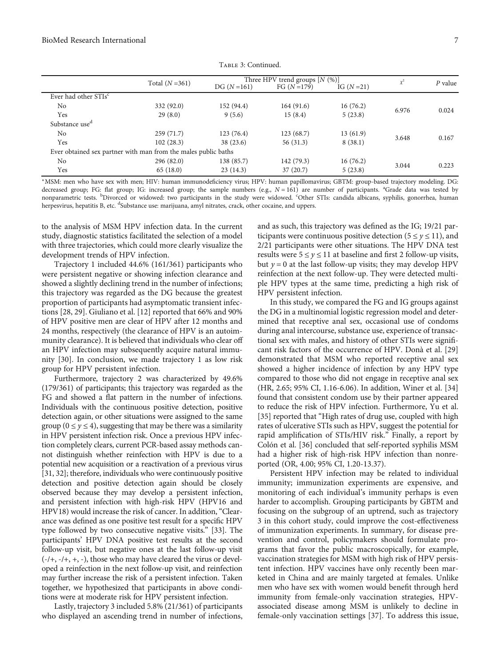|                                  | Total $(N=361)$                                                | Three HPV trend groups $[N (%)]$ | $\chi^2$     | P value     |       |       |
|----------------------------------|----------------------------------------------------------------|----------------------------------|--------------|-------------|-------|-------|
|                                  |                                                                | $DG (N=161)$                     | FG $(N=179)$ | IG $(N=21)$ |       |       |
| Ever had other STIs <sup>c</sup> |                                                                |                                  |              |             |       |       |
| N <sub>o</sub>                   | 332 (92.0)                                                     | 152 (94.4)                       | 164(91.6)    | 16(76.2)    | 6.976 | 0.024 |
| Yes                              | 29(8.0)                                                        | 9(5.6)                           | 15(8.4)      | 5(23.8)     |       |       |
| Substance use <sup>d</sup>       |                                                                |                                  |              |             |       |       |
| N <sub>o</sub>                   | 259(71.7)                                                      | 123(76.4)                        | 123(68.7)    | 13(61.9)    | 3.648 | 0.167 |
| Yes                              | 102(28.3)                                                      | 38 (23.6)                        | 56(31.3)     | 8(38.1)     |       |       |
|                                  | Ever obtained sex partner with man from the males public baths |                                  |              |             |       |       |
| N <sub>o</sub>                   | 296 (82.0)                                                     | 138 (85.7)                       | 142 (79.3)   | 16(76.2)    | 3.044 | 0.223 |
| Yes                              | 65(18.0)                                                       | 23(14.3)                         | 37(20.7)     | 5(23.8)     |       |       |

Table 3: Continued.

<sup>∗</sup>MSM: men who have sex with men; HIV: human immunodeficiency virus; HPV: human papillomavirus; GBTM: group-based trajectory modeling. DG: decreased group; FG: flat group; IG: increased group; the sample numbers (e.g.,  $N = 161$ ) are number of participants. <sup>a</sup>Grade data was tested by<br>nonparametric tests <sup>b</sup>Divorced or widowed: two participants in the study we nonparametric tests. <sup>b</sup>Divorced or widowed: two participants in the study were widowed. 'Other STIs: candida albicans, syphilis, gonorrhea, human herpesvirus, hepatitis B, etc. <sup>d</sup>Substance use: marijuana, amyl nitrates, crack, other cocaine, and uppers.

to the analysis of MSM HPV infection data. In the current study, diagnostic statistics facilitated the selection of a model with three trajectories, which could more clearly visualize the development trends of HPV infection.

Trajectory 1 included 44.6% (161/361) participants who were persistent negative or showing infection clearance and showed a slightly declining trend in the number of infections; this trajectory was regarded as the DG because the greatest proportion of participants had asymptomatic transient infections [\[28, 29\]](#page-9-0). Giuliano et al. [[12\]](#page-8-0) reported that 66% and 90% of HPV positive men are clear of HPV after 12 months and 24 months, respectively (the clearance of HPV is an autoimmunity clearance). It is believed that individuals who clear off an HPV infection may subsequently acquire natural immunity [\[30\]](#page-9-0). In conclusion, we made trajectory 1 as low risk group for HPV persistent infection.

Furthermore, trajectory 2 was characterized by 49.6% (179/361) of participants; this trajectory was regarded as the FG and showed a flat pattern in the number of infections. Individuals with the continuous positive detection, positive detection again, or other situations were assigned to the same group ( $0 \le y \le 4$ ), suggesting that may be there was a similarity in HPV persistent infection risk. Once a previous HPV infection completely clears, current PCR-based assay methods cannot distinguish whether reinfection with HPV is due to a potential new acquisition or a reactivation of a previous virus [\[31, 32](#page-9-0)]; therefore, individuals who were continuously positive detection and positive detection again should be closely observed because they may develop a persistent infection, and persistent infection with high-risk HPV (HPV16 and HPV18) would increase the risk of cancer. In addition, "Clearance was defined as one positive test result for a specific HPV type followed by two consecutive negative visits." [[33](#page-9-0)]. The participants' HPV DNA positive test results at the second follow-up visit, but negative ones at the last follow-up visit (-/+, -/+, +, -), those who may have cleared the virus or developed a reinfection in the next follow-up visit, and reinfection may further increase the risk of a persistent infection. Taken together, we hypothesized that participants in above conditions were at moderate risk for HPV persistent infection.

Lastly, trajectory 3 included 5.8% (21/361) of participants who displayed an ascending trend in number of infections,

and as such, this trajectory was defined as the IG; 19/21 participants were continuous positive detection ( $5 \le y \le 11$ ), and 2/21 participants were other situations. The HPV DNA test results were  $5 \le y \le 11$  at baseline and first 2 follow-up visits, but  $y = 0$  at the last follow-up visits; they may develop HPV reinfection at the next follow-up. They were detected multiple HPV types at the same time, predicting a high risk of HPV persistent infection.

In this study, we compared the FG and IG groups against the DG in a multinomial logistic regression model and determined that receptive anal sex, occasional use of condoms during anal intercourse, substance use, experience of transactional sex with males, and history of other STIs were significant risk factors of the occurrence of HPV. Donà et al. [[29\]](#page-9-0) demonstrated that MSM who reported receptive anal sex showed a higher incidence of infection by any HPV type compared to those who did not engage in receptive anal sex (HR, 2.65; 95% CI, 1.16-6.06). In addition, Winer et al. [[34\]](#page-9-0) found that consistent condom use by their partner appeared to reduce the risk of HPV infection. Furthermore, Yu et al. [\[35](#page-9-0)] reported that "High rates of drug use, coupled with high rates of ulcerative STIs such as HPV, suggest the potential for rapid amplification of STIs/HIV risk." Finally, a report by Colón et al. [\[36\]](#page-9-0) concluded that self-reported syphilis MSM had a higher risk of high-risk HPV infection than nonreported (OR, 4.00; 95% CI, 1.20-13.37).

Persistent HPV infection may be related to individual immunity; immunization experiments are expensive, and monitoring of each individual's immunity perhaps is even harder to accomplish. Grouping participants by GBTM and focusing on the subgroup of an uptrend, such as trajectory 3 in this cohort study, could improve the cost-effectiveness of immunization experiments. In summary, for disease prevention and control, policymakers should formulate programs that favor the public macroscopically, for example, vaccination strategies for MSM with high risk of HPV persistent infection. HPV vaccines have only recently been marketed in China and are mainly targeted at females. Unlike men who have sex with women would benefit through herd immunity from female-only vaccination strategies, HPVassociated disease among MSM is unlikely to decline in female-only vaccination settings [\[37\]](#page-9-0). To address this issue,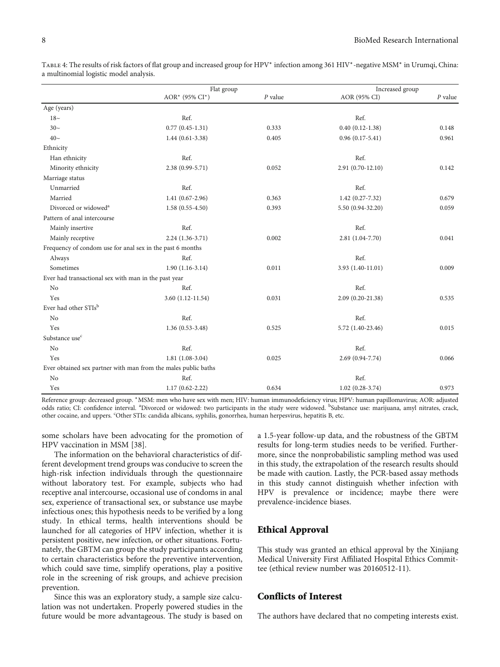|                                                                | Flat group          |           | Increased group     |           |
|----------------------------------------------------------------|---------------------|-----------|---------------------|-----------|
|                                                                | AOR* (95% CI*)      | $P$ value | AOR (95% CI)        | $P$ value |
| Age (years)                                                    |                     |           |                     |           |
| $18-$                                                          | Ref.                |           | Ref.                |           |
| $30-$                                                          | $0.77(0.45-1.31)$   | 0.333     | $0.40(0.12-1.38)$   | 0.148     |
| $40-$                                                          | $1.44(0.61-3.38)$   | 0.405     | $0.96(0.17-5.41)$   | 0.961     |
| Ethnicity                                                      |                     |           |                     |           |
| Han ethnicity                                                  | Ref.                |           | Ref.                |           |
| Minority ethnicity                                             | $2.38(0.99 - 5.71)$ | 0.052     | $2.91(0.70-12.10)$  | 0.142     |
| Marriage status                                                |                     |           |                     |           |
| Unmarried                                                      | Ref.                |           | Ref.                |           |
| Married                                                        | $1.41(0.67-2.96)$   | 0.363     | $1.42(0.27 - 7.32)$ | 0.679     |
| Divorced or widowed <sup>a</sup>                               | $1.58(0.55-4.50)$   | 0.393     | 5.50 (0.94-32.20)   | 0.059     |
| Pattern of anal intercourse                                    |                     |           |                     |           |
| Mainly insertive                                               | Ref.                |           | Ref.                |           |
| Mainly receptive                                               | $2.24(1.36-3.71)$   | 0.002     | 2.81 (1.04-7.70)    | 0.041     |
| Frequency of condom use for anal sex in the past 6 months      |                     |           |                     |           |
| Always                                                         | Ref.                |           | Ref.                |           |
| Sometimes                                                      | $1.90(1.16-3.14)$   | 0.011     | 3.93 (1.40-11.01)   | 0.009     |
| Ever had transactional sex with man in the past year           |                     |           |                     |           |
| No                                                             | Ref.                |           | Ref.                |           |
| Yes                                                            | $3.60(1.12-11.54)$  | 0.031     | 2.09 (0.20-21.38)   | 0.535     |
| Ever had other STIsb                                           |                     |           |                     |           |
| N <sub>0</sub>                                                 | Ref.                |           | Ref.                |           |
| Yes                                                            | $1.36(0.53-3.48)$   | 0.525     | 5.72 (1.40-23.46)   | 0.015     |
| Substance use <sup>c</sup>                                     |                     |           |                     |           |
| No                                                             | Ref.                |           | Ref.                |           |
| Yes                                                            | $1.81(1.08-3.04)$   | 0.025     | 2.69 (0.94-7.74)    | 0.066     |
| Ever obtained sex partner with man from the males public baths |                     |           |                     |           |
| No                                                             | Ref.                |           | Ref.                |           |
| Yes                                                            | $1.17(0.62 - 2.22)$ | 0.634     | $1.02(0.28-3.74)$   | 0.973     |

<span id="page-7-0"></span>Table 4: The results of risk factors of flat group and increased group for HPV<sup>∗</sup> infection among 361 HIV<sup>∗</sup>-negative MSM<sup>∗</sup> in Urumqi, China: a multinomial logistic model analysis.

Reference group: decreased group. <sup>∗</sup>MSM: men who have sex with men; HIV: human immunodeficiency virus; HPV: human papillomavirus; AOR: adjusted odds ratio; CI: confidence interval. <sup>a</sup>Divorced or widowed: two participants in the study were widowed. <sup>b</sup>Substance use: marijuana, amyl nitrates, crack, other cocaine, and uppers. 'Other STIs: candida albicans, syphilis, gonorrhea, human herpesvirus, hepatitis B, etc.

some scholars have been advocating for the promotion of HPV vaccination in MSM [[38](#page-9-0)].

The information on the behavioral characteristics of different development trend groups was conducive to screen the high-risk infection individuals through the questionnaire without laboratory test. For example, subjects who had receptive anal intercourse, occasional use of condoms in anal sex, experience of transactional sex, or substance use maybe infectious ones; this hypothesis needs to be verified by a long study. In ethical terms, health interventions should be launched for all categories of HPV infection, whether it is persistent positive, new infection, or other situations. Fortunately, the GBTM can group the study participants according to certain characteristics before the preventive intervention, which could save time, simplify operations, play a positive role in the screening of risk groups, and achieve precision prevention.

Since this was an exploratory study, a sample size calculation was not undertaken. Properly powered studies in the future would be more advantageous. The study is based on a 1.5-year follow-up data, and the robustness of the GBTM results for long-term studies needs to be verified. Furthermore, since the nonprobabilistic sampling method was used in this study, the extrapolation of the research results should be made with caution. Lastly, the PCR-based assay methods in this study cannot distinguish whether infection with HPV is prevalence or incidence; maybe there were prevalence-incidence biases.

## Ethical Approval

This study was granted an ethical approval by the Xinjiang Medical University First Affiliated Hospital Ethics Committee (ethical review number was 20160512-11).

## Conflicts of Interest

The authors have declared that no competing interests exist.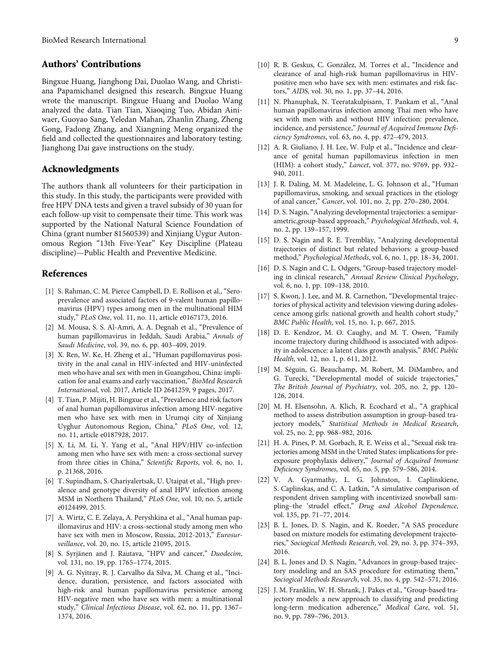## <span id="page-8-0"></span>Authors' Contributions

Bingxue Huang, Jianghong Dai, Duolao Wang, and Christiana Papamichanel designed this research. Bingxue Huang wrote the manuscript. Bingxue Huang and Duolao Wang analyzed the data. Tian Tian, Xiaoqing Tuo, Abidan Ainiwaer, Guoyao Sang, Yeledan Mahan, Zhanlin Zhang, Zheng Gong, Fadong Zhang, and Xiangning Meng organized the field and collected the questionnaires and laboratory testing. Jianghong Dai gave instructions on the study.

### Acknowledgments

The authors thank all volunteers for their participation in this study. In this study, the participants were provided with free HPV DNA tests and given a travel subsidy of 30 yuan for each follow-up visit to compensate their time. This work was supported by the National Natural Science Foundation of China (grant number 81560539) and Xinjiang Uygur Autonomous Region "13th Five-Year" Key Discipline (Plateau discipline)—Public Health and Preventive Medicine.

#### References

- [1] S. Rahman, C. M. Pierce Campbell, D. E. Rollison et al., "Seroprevalence and associated factors of 9-valent human papillomavirus (HPV) types among men in the multinational HIM study," PLoS One, vol. 11, no. 11, article e0167173, 2016.
- [2] M. Mousa, S. S. Al-Amri, A. A. Degnah et al., "Prevalence of human papillomavirus in Jeddah, Saudi Arabia," Annals of Saudi Medicine, vol. 39, no. 6, pp. 403–409, 2019.
- [3] X. Ren, W. Ke, H. Zheng et al., "Human papillomavirus positivity in the anal canal in HIV-infected and HIV-uninfected men who have anal sex with men in Guangzhou, China: implication for anal exams and early vaccination," BioMed Research International, vol. 2017, Article ID 2641259, 9 pages, 2017.
- [4] T. Tian, P. Mijiti, H. Bingxue et al., "Prevalence and risk factors of anal human papillomavirus infection among HIV-negative men who have sex with men in Urumqi city of Xinjiang Uyghur Autonomous Region, China," PLoS One, vol. 12, no. 11, article e0187928, 2017.
- [5] X. Li, M. Li, Y. Yang et al., "Anal HPV/HIV co-infection among men who have sex with men: a cross-sectional survey from three cities in China," Scientific Reports, vol. 6, no. 1, p. 21368, 2016.
- [6] T. Supindham, S. Chariyalertsak, U. Utaipat et al., "High prevalence and genotype diversity of anal HPV infection among MSM in Northern Thailand," PLoS One, vol. 10, no. 5, article e0124499, 2015.
- [7] A. Wirtz, C. E. Zelaya, A. Peryshkina et al., "Anal human papillomavirus and HIV: a cross-sectional study among men who have sex with men in Moscow, Russia, 2012-2013," Eurosurveillance, vol. 20, no. 15, article 21095, 2015.
- [8] S. Syrjänen and J. Rautava, "HPV and cancer," Duodecim, vol. 131, no. 19, pp. 1765–1774, 2015.
- [9] A. G. Nyitray, R. J. Carvalho da Silva, M. Chang et al., "Incidence, duration, persistence, and factors associated with high-risk anal human papillomavirus persistence among HIV-negative men who have sex with men: a multinational study," Clinical Infectious Disease, vol. 62, no. 11, pp. 1367– 1374, 2016.
- [10] R. B. Geskus, C. González, M. Torres et al., "Incidence and clearance of anal high-risk human papillomavirus in HIVpositive men who have sex with men: estimates and risk factors," AIDS, vol. 30, no. 1, pp. 37–44, 2016.
- [11] N. Phanuphak, N. Teeratakulpisarn, T. Pankam et al., "Anal human papillomavirus infection among Thai men who have sex with men with and without HIV infection: prevalence, incidence, and persistence," Journal of Acquired Immune Deficiency Syndromes, vol. 63, no. 4, pp. 472–479, 2013.
- [12] A. R. Giuliano, J. H. Lee, W. Fulp et al., "Incidence and clearance of genital human papillomavirus infection in men (HIM): a cohort study," Lancet, vol. 377, no. 9769, pp. 932– 940, 2011.
- [13] J. R. Daling, M. M. Madeleine, L. G. Johnson et al., "Human papillomavirus, smoking, and sexual practices in the etiology of anal cancer," Cancer, vol. 101, no. 2, pp. 270–280, 2004.
- [14] D. S. Nagin, "Analyzing developmental trajectories: a semiparametric,group-based approach," Psychological Methods, vol. 4, no. 2, pp. 139–157, 1999.
- [15] D. S. Nagin and R. E. Tremblay, "Analyzing developmental trajectories of distinct but related behaviors: a group-based method," Psychological Methods, vol. 6, no. 1, pp. 18–34, 2001.
- [16] D. S. Nagin and C. L. Odgers, "Group-based trajectory modeling in clinical research," Annual Review Clinical Psychology, vol. 6, no. 1, pp. 109–138, 2010.
- [17] S. Kwon, J. Lee, and M. R. Carnethon, "Developmental trajectories of physical activity and television viewing during adolescence among girls: national growth and health cohort study," BMC Public Health, vol. 15, no. 1, p. 667, 2015.
- [18] D. E. Kendzor, M. O. Caughy, and M. T. Owen, "Family income trajectory during childhood is associated with adiposity in adolescence: a latent class growth analysis," BMC Public Health, vol. 12, no. 1, p. 611, 2012.
- [19] M. Séguin, G. Beauchamp, M. Robert, M. DiMambro, and G. Turecki, "Developmental model of suicide trajectories," The British Journal of Psychiatry, vol. 205, no. 2, pp. 120– 126, 2014.
- [20] M. H. Elsensohn, A. Klich, R. Ecochard et al., "A graphical method to assess distribution assumption in group-based trajectory models," Statistical Methods in Medical Research, vol. 25, no. 2, pp. 968–982, 2016.
- [21] H. A. Pines, P. M. Gorbach, R. E. Weiss et al., "Sexual risk trajectories among MSM in the United States: implications for preexposure prophylaxis delivery," Journal of Acquired Immune Deficiency Syndromes, vol. 65, no. 5, pp. 579–586, 2014.
- [22] V. A. Gyarmathy, L. G. Johnston, I. Caplinskiene, S. Caplinskas, and C. A. Latkin, "A simulative comparison of respondent driven sampling with incentivized snowball sampling–the 'strudel effect," Drug and Alcohol Dependence, vol. 135, pp. 71–77, 2014.
- [23] B. L. Jones, D. S. Nagin, and K. Roeder, "A SAS procedure based on mixture models for estimating development trajectories," Sociogical Methods Research, vol. 29, no. 3, pp. 374–393, 2016.
- [24] B. L. Jones and D. S. Nagin, "Advances in group-based trajectory modeling and an SAS procedure for estimating them," Sociogical Methods Research, vol. 35, no. 4, pp. 542–571, 2016.
- [25] J. M. Franklin, W. H. Shrank, J. Pakes et al., "Group-based trajectory models: a new approach to classifying and predicting long-term medication adherence," Medical Care, vol. 51, no. 9, pp. 789–796, 2013.